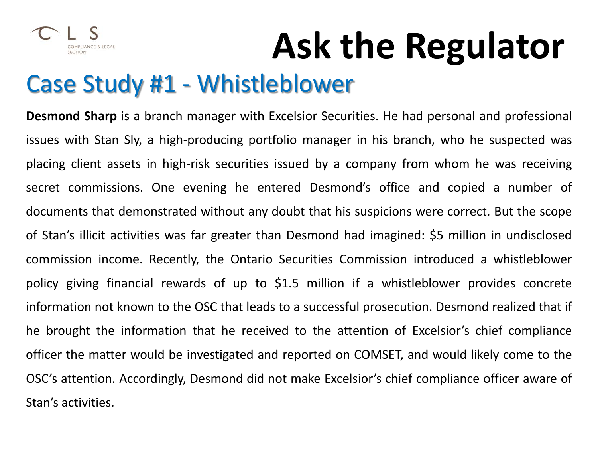

### Case Study #1 - Whistleblower

**Desmond Sharp** is a branch manager with Excelsior Securities. He had personal and professional issues with Stan Sly, a high-producing portfolio manager in his branch, who he suspected was placing client assets in high-risk securities issued by a company from whom he was receiving secret commissions. One evening he entered Desmond's office and copied a number of documents that demonstrated without any doubt that his suspicions were correct. But the scope of Stan's illicit activities was far greater than Desmond had imagined: \$5 million in undisclosed commission income. Recently, the Ontario Securities Commission introduced a whistleblower policy giving financial rewards of up to \$1.5 million if a whistleblower provides concrete information not known to the OSC that leads to a successful prosecution. Desmond realized that if he brought the information that he received to the attention of Excelsior's chief compliance officer the matter would be investigated and reported on COMSET, and would likely come to the OSC's attention. Accordingly, Desmond did not make Excelsior's chief compliance officer aware of Stan's activities.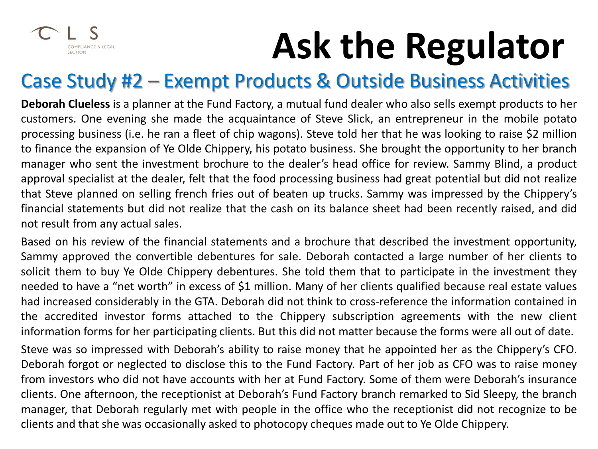

#### Case Study #2 – Exempt Products & Outside Business Activities

**Deborah Clueless** is a planner at the Fund Factory, a mutual fund dealer who also sells exempt products to her customers. One evening she made the acquaintance of Steve Slick, an entrepreneur in the mobile potato processing business (i.e. he ran a fleet of chip wagons). Steve told her that he was looking to raise \$2 million to finance the expansion of Ye Olde Chippery, his potato business. She brought the opportunity to her branch manager who sent the investment brochure to the dealer's head office for review. Sammy Blind, a product approval specialist at the dealer, felt that the food processing business had great potential but did not realize that Steve planned on selling french fries out of beaten up trucks. Sammy was impressed by the Chippery's financial statements but did not realize that the cash on its balance sheet had been recently raised, and did not result from any actual sales.

Based on his review of the financial statements and a brochure that described the investment opportunity, Sammy approved the convertible debentures for sale. Deborah contacted a large number of her clients to solicit them to buy Ye Olde Chippery debentures. She told them that to participate in the investment they needed to have a "net worth" in excess of \$1 million. Many of her clients qualified because real estate values had increased considerably in the GTA. Deborah did not think to cross-reference the information contained in the accredited investor forms attached to the Chippery subscription agreements with the new client information forms for her participating clients. But this did not matter because the forms were all out of date. Steve was so impressed with Deborah's ability to raise money that he appointed her as the Chippery's CFO. Deborah forgot or neglected to disclose this to the Fund Factory. Part of her job as CFO was to raise money from investors who did not have accounts with her at Fund Factory. Some of them were Deborah's insurance

clients. One afternoon, the receptionist at Deborah's Fund Factory branch remarked to Sid Sleepy, the branch manager, that Deborah regularly met with people in the office who the receptionist did not recognize to be clients and that she was occasionally asked to photocopy cheques made out to Ye Olde Chippery.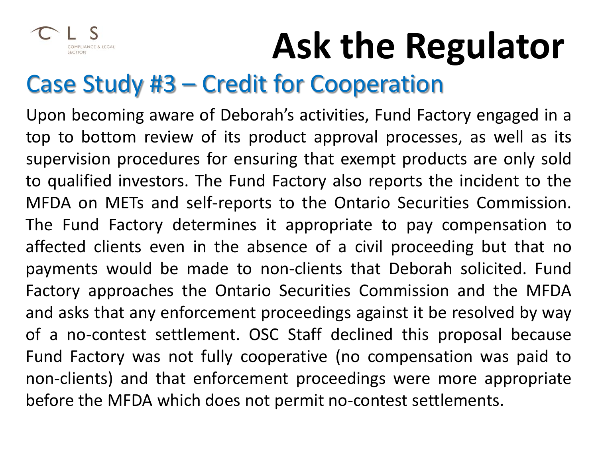

### Case Study #3 – Credit for Cooperation

Upon becoming aware of Deborah's activities, Fund Factory engaged in a top to bottom review of its product approval processes, as well as its supervision procedures for ensuring that exempt products are only sold to qualified investors. The Fund Factory also reports the incident to the MFDA on METs and self-reports to the Ontario Securities Commission. The Fund Factory determines it appropriate to pay compensation to affected clients even in the absence of a civil proceeding but that no payments would be made to non-clients that Deborah solicited. Fund Factory approaches the Ontario Securities Commission and the MFDA and asks that any enforcement proceedings against it be resolved by way of a no-contest settlement. OSC Staff declined this proposal because Fund Factory was not fully cooperative (no compensation was paid to non-clients) and that enforcement proceedings were more appropriate before the MFDA which does not permit no-contest settlements.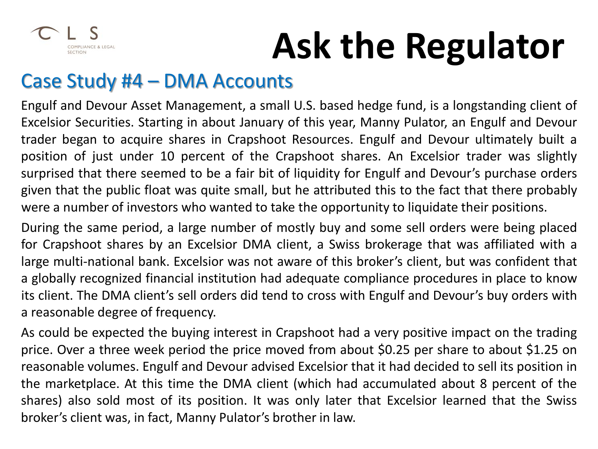

#### Case Study #4 – DMA Accounts

Engulf and Devour Asset Management, a small U.S. based hedge fund, is a longstanding client of Excelsior Securities. Starting in about January of this year, Manny Pulator, an Engulf and Devour trader began to acquire shares in Crapshoot Resources. Engulf and Devour ultimately built a position of just under 10 percent of the Crapshoot shares. An Excelsior trader was slightly surprised that there seemed to be a fair bit of liquidity for Engulf and Devour's purchase orders given that the public float was quite small, but he attributed this to the fact that there probably were a number of investors who wanted to take the opportunity to liquidate their positions.

During the same period, a large number of mostly buy and some sell orders were being placed for Crapshoot shares by an Excelsior DMA client, a Swiss brokerage that was affiliated with a large multi-national bank. Excelsior was not aware of this broker's client, but was confident that a globally recognized financial institution had adequate compliance procedures in place to know its client. The DMA client's sell orders did tend to cross with Engulf and Devour's buy orders with a reasonable degree of frequency.

As could be expected the buying interest in Crapshoot had a very positive impact on the trading price. Over a three week period the price moved from about \$0.25 per share to about \$1.25 on reasonable volumes. Engulf and Devour advised Excelsior that it had decided to sell its position in the marketplace. At this time the DMA client (which had accumulated about 8 percent of the shares) also sold most of its position. It was only later that Excelsior learned that the Swiss broker's client was, in fact, Manny Pulator's brother in law.